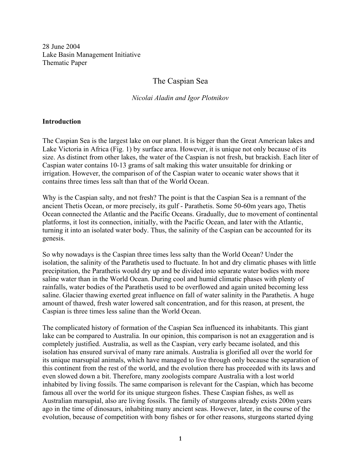28 June 2004 Lake Basin Management Initiative Thematic Paper

# The Caspian Sea

### *Nicolai Aladin and Igor Plotnikov*

#### **Introduction**

The Caspian Sea is the largest lake on our planet. It is bigger than the Great American lakes and Lake Victoria in Africa (Fig. 1) by surface area. However, it is unique not only because of its size. As distinct from other lakes, the water of the Caspian is not fresh, but brackish. Each liter of Caspian water contains 10-13 grams of salt making this water unsuitable for drinking or irrigation. However, the comparison of of the Caspian water to oceanic water shows that it contains three times less salt than that of the World Ocean.

Why is the Caspian salty, and not fresh? The point is that the Caspian Sea is a remnant of the ancient Thetis Ocean, or more precisely, its gulf - Parathetis. Some 50-60m years ago, Thetis Ocean connected the Atlantic and the Pacific Oceans. Gradually, due to movement of continental platforms, it lost its connection, initially, with the Pacific Ocean, and later with the Atlantic, turning it into an isolated water body. Thus, the salinity of the Caspian can be accounted for its genesis.

So why nowadays is the Caspian three times less salty than the World Ocean? Under the isolation, the salinity of the Parathetis used to fluctuate. In hot and dry climatic phases with little precipitation, the Parathetis would dry up and be divided into separate water bodies with more saline water than in the World Ocean. During cool and humid climatic phases with plenty of rainfalls, water bodies of the Parathetis used to be overflowed and again united becoming less saline. Glacier thawing exerted great influence on fall of water salinity in the Parathetis. A huge amount of thawed, fresh water lowered salt concentration, and for this reason, at present, the Caspian is three times less saline than the World Ocean.

The complicated history of formation of the Caspian Sea influenced its inhabitants. This giant lake can be compared to Australia. In our opinion, this comparison is not an exaggeration and is completely justified. Australia, as well as the Caspian, very early became isolated, and this isolation has ensured survival of many rare animals. Australia is glorified all over the world for its unique marsupial animals, which have managed to live through only because the separation of this continent from the rest of the world, and the evolution there has proceeded with its laws and even slowed down a bit. Therefore, many zoologists compare Australia with a lost world inhabited by living fossils. The same comparison is relevant for the Caspian, which has become famous all over the world for its unique sturgeon fishes. These Caspian fishes, as well as Australian marsupial, also are living fossils. The family of sturgeons already exists 200m years ago in the time of dinosaurs, inhabiting many ancient seas. However, later, in the course of the evolution, because of competition with bony fishes or for other reasons, sturgeons started dying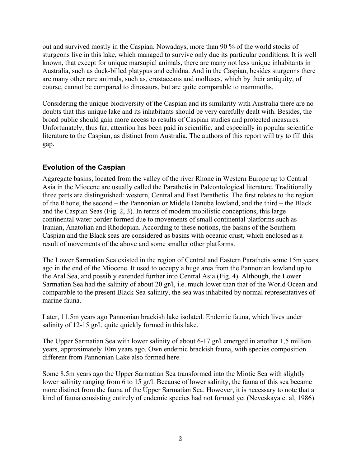out and survived mostly in the Caspian. Nowadays, more than 90 % of the world stocks of sturgeons live in this lake, which managed to survive only due its particular conditions. It is well known, that except for unique marsupial animals, there are many not less unique inhabitants in Australia, such as duck-billed platypus and echidna. And in the Caspian, besides sturgeons there are many other rare animals, such as, crustaceans and molluscs, which by their antiquity, of course, cannot be compared to dinosaurs, but are quite comparable to mammoths.

Considering the unique biodiversity of the Caspian and its similarity with Australia there are no doubts that this unique lake and its inhabitants should be very carefully dealt with. Besides, the broad public should gain more access to results of Caspian studies and protected measures. Unfortunately, thus far, attention has been paid in scientific, and especially in popular scientific literature to the Caspian, as distinct from Australia. The authors of this report will try to fill this gap.

# **Evolution of the Caspian**

Aggregate basins, located from the valley of the river Rhone in Western Europe up to Central Asia in the Miocene are usually called the Parathetis in Paleontological literature. Traditionally three parts are distinguished: western, Central and East Parathetis. The first relates to the region of the Rhone, the second – the Pannonian or Middle Danube lowland, and the third – the Black and the Caspian Seas (Fig. 2, 3). In terms of modern mobilistic conceptions, this large continental water border formed due to movements of small continental platforms such as Iranian, Anatolian and Rhodopian. According to these notions, the basins of the Southern Caspian and the Black seas are considered as basins with oceanic crust, which enclosed as a result of movements of the above and some smaller other platforms.

The Lower Sarmatian Sea existed in the region of Central and Eastern Parathetis some 15m years ago in the end of the Miocene. It used to occupy a huge area from the Pannonian lowland up to the Aral Sea, and possibly extended further into Central Asia (Fig. 4). Although, the Lower Sarmatian Sea had the salinity of about 20 gr/l, i.e. much lower than that of the World Ocean and comparable to the present Black Sea salinity, the sea was inhabited by normal representatives of marine fauna.

Later, 11.5m years ago Pannonian brackish lake isolated. Endemic fauna, which lives under salinity of 12-15 gr/l, quite quickly formed in this lake.

The Upper Sarmatian Sea with lower salinity of about 6-17 gr/l emerged in another 1,5 million years, approximately 10m years ago. Own endemic brackish fauna, with species composition different from Pannonian Lake also formed here.

Some 8.5m years ago the Upper Sarmatian Sea transformed into the Miotic Sea with slightly lower salinity ranging from 6 to 15 gr/l. Because of lower salinity, the fauna of this sea became more distinct from the fauna of the Upper Sarmatian Sea. However, it is necessary to note that a kind of fauna consisting entirely of endemic species had not formed yet (Neveskaya et al, 1986).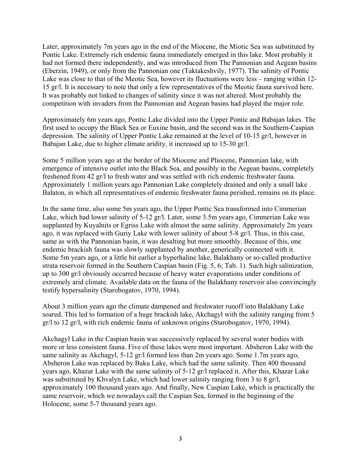Later, approximately 7m years ago in the end of the Miocene, the Miotic Sea was substituted by Pontic Lake. Extremely rich endemic fauna immediately emerged in this lake. Most probably it had not formed there independently, and was introduced from The Pannonian and Aegean basins (Eberzin, 1949), or only from the Pannonian one (Taktakeshvily, 1977). The salinity of Pontic Lake was close to that of the Meotic Sea, however its fluctuations were less – ranging within 12- 15 gr/l. It is necessary to note that only a few representatives of the Meotic fauna survived here. It was probably not linked to changes of salinity since it was not altered. Most probably the competition with invaders from the Pannonian and Aegean basins had played the major role.

Approximately 6m years ago, Pontic Lake divided into the Upper Pontic and Babajan lakes. The first used to occupy the Black Sea or Euxine basin, and the second was in the Southern-Caspian depression. The salinity of Upper Pontic Lake remained at the level of 10-15 gr/l, however in Babajan Lake, due to higher climate aridity, it increased up to 15-30 gr/l.

Some 5 million years ago at the border of the Miocene and Pliocene, Pannonian lake, with emergence of intensive outlet into the Black Sea, and possibly in the Aegean basins, completely freshened from 42 gr/l to fresh water and was settled with rich endemic freshwater fauna. Approximately 1 million years ago Pannonian Lake completely drained and only a small lake Balaton, in which all representatives of endemic freshwater fauna perished, remains on its place.

In the same time, also some 5m years ago, the Upper Pontic Sea transformed into Cimmerian Lake, which had lower salinity of 5-12 gr/l. Later, some 3.5m years ago, Cimmerian Lake was supplanted by Kuyalnits or Egriss Lake with almost the same salinity. Approximately 2m years ago, it was replaced with Guriy Lake with lower salinity of about 5-8 gr/l. Thus, in this case, same as with the Pannonian basin, it was desalting but more smoothly. Because of this, one endemic brackish fauna was slowly supplanted by another, generically connected with it. Some 5m years ago, or a little bit earlier a hyperhaline lake, Balakhany or so-called productive strata reservoir formed in the Southern Caspian basin (Fig. 5, 6; Tab. 1). Such high salinization, up to 300 gr/l obviously occurred because of heavy water evaporations under conditions of extremely arid climate. Available data on the fauna of the Balakhany reservoir also convincingly testify hypersalinity (Starobogatov, 1970, 1994).

About 3 million years ago the climate dampened and freshwater runoff into Balakhany Lake soared. This led to formation of a huge brackish lake, Akchagyl with the salinity ranging from 5 gr/l to 12 gr/l, with rich endemic fauna of unknown origins (Starobogatov, 1970, 1994).

Akchagyl Lake in the Caspian basin was successively replaced by several water bodies with more or less consistent fauna. Five of these lakes were most important. Absheron Lake with the same salinity as Akchagyl, 5-12 gr/l formed less than 2m years ago. Some 1.7m years ago, Absheron Lake was replaced by Baku Lake, which had the same salinity. Then 400 thousand years ago, Khazar Lake with the same salinity of 5-12 gr/l replaced it. After this, Khazar Lake was substituted by Khvalyn Lake, which had lower salinity ranging from 3 to 8 gr/l, approximately 100 thousand years ago. And finally, New Caspian Lake, which is practically the same reservoir, which we nowadays call the Caspian Sea, formed in the beginning of the Holocene, some 5-7 thousand years ago.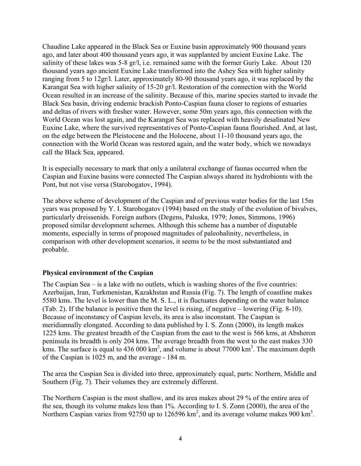Chaudine Lake appeared in the Black Sea or Euxine basin approximately 900 thousand years ago, and later about 400 thousand years ago, it was supplanted by ancient Euxine Lake. The salinity of these lakes was 5-8 gr/l, i.e. remained same with the former Guriy Lake. About 120 thousand years ago ancient Euxine Lake transformed into the Ashey Sea with higher salinity ranging from 5 to 12gr/l. Later, approximately 80-90 thousand years ago, it was replaced by the Karangat Sea with higher salinity of 15-20 gr/l. Restoration of the connection with the World Ocean resulted in an increase of the salinity. Because of this, marine species started to invade the Black Sea basin, driving endemic brackish Ponto-Caspian fauna closer to regions of estuaries and deltas of rivers with fresher water. However, some 50m years ago, this connection with the World Ocean was lost again, and the Karangat Sea was replaced with heavily desalinated New Euxine Lake, where the survived representatives of Ponto-Caspian fauna flourished. And, at last, on the edge between the Pleistocene and the Holocene, about 11-10 thousand years ago, the connection with the World Ocean was restored again, and the water body, which we nowadays call the Black Sea, appeared.

It is especially necessary to mark that only a unilateral exchange of faunas occurred when the Caspian and Euxine basins were connected The Caspian always shared its hydrobionts with the Pont, but not vise versa (Starobogatov, 1994).

The above scheme of development of the Caspian and of previous water bodies for the last 15m years was proposed by Y. I. Starobogatov (1994) based on the study of the evolution of bivalves, particularly dreissenids. Foreign authors (Degens, Paluska, 1979; Jones, Simmons, 1996) proposed similar development schemes. Although this scheme has a number of disputable moments, especially in terms of proposed magnitudes of paleohalinity, nevertheless, in comparison with other development scenarios, it seems to be the most substantiated and probable.

## **Physical environment of the Caspian**

The Caspian Sea – is a lake with no outlets, which is washing shores of the five countries: Azerbaijan, Iran, Turkmenistan, Kazakhstan and Russia (Fig. 7). The length of coastline makes 5580 kms. The level is lower than the M. S. L., it is fluctuates depending on the water balance (Tab. 2). If the balance is positive then the level is rising, if negative – lowering (Fig. 8-10). Because of inconstancy of Caspian levels, its area is also inconstant. The Caspian is meridiannally elongated. According to data published by I. S. Zonn (2000), its length makes 1225 kms. The greatest breadth of the Caspian from the east to the west is 566 kms, at Absheron peninsula its breadth is only 204 kms. The average breadth from the west to the east makes 330 kms. The surface is equal to  $436\,000\,\mathrm{km}^2$ , and volume is about  $77000\,\mathrm{km}^3$ . The maximum depth of the Caspian is 1025 m, and the average - 184 m.

The area the Caspian Sea is divided into three, approximately equal, parts: Northern, Middle and Southern (Fig. 7). Their volumes they are extremely different.

The Northern Caspian is the most shallow, and its area makes about 29 % of the entire area of the sea, though its volume makes less than 1%. According to I. S. Zonn (2000), the area of the Northern Caspian varies from 92750 up to 126596  $\text{km}^2$ , and its average volume makes 900  $\text{km}^3$ .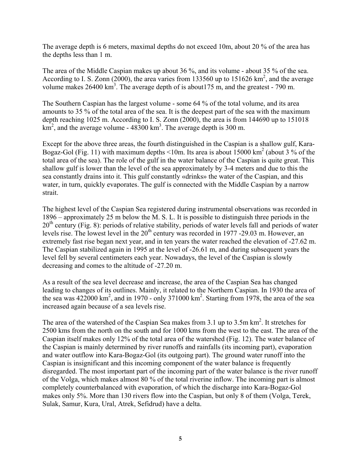The average depth is 6 meters, maximal depths do not exceed 10m, about 20 % of the area has the depths less than 1 m.

The area of the Middle Caspian makes up about 36 %, and its volume - about 35 % of the sea. According to I. S. Zonn (2000), the area varies from 133560 up to 151626  $\text{km}^2$ , and the average volume makes  $26400 \text{ km}^3$ . The average depth of is about 175 m, and the greatest - 790 m.

The Southern Caspian has the largest volume - some 64 % of the total volume, and its area amounts to 35 % of the total area of the sea. It is the deepest part of the sea with the maximum depth reaching 1025 m. According to I. S. Zonn (2000), the area is from 144690 up to 151018  $km<sup>2</sup>$ , and the average volume - 48300 km<sup>3</sup>. The average depth is 300 m.

Except for the above three areas, the fourth distinguished in the Caspian is a shallow gulf, Kara-Bogaz-Gol (Fig. 11) with maximum depths <10m. Its area is about  $15000 \text{ km}^2$  (about  $3\%$  of the total area of the sea). The role of the gulf in the water balance of the Caspian is quite great. This shallow gulf is lower than the level of the sea approximately by 3-4 meters and due to this the sea constantly drains into it. This gulf constantly «drinks» the water of the Caspian, and this water, in turn, quickly evaporates. The gulf is connected with the Middle Caspian by a narrow strait.

The highest level of the Caspian Sea registered during instrumental observations was recorded in 1896 – approximately 25 m below the M. S. L. It is possible to distinguish three periods in the  $20<sup>th</sup>$  century (Fig. 8): periods of relative stability, periods of water levels fall and periods of water levels rise. The lowest level in the  $20<sup>th</sup>$  century was recorded in 1977 -29.03 m. However, an extremely fast rise began next year, and in ten years the water reached the elevation of -27.62 m. The Caspian stabilized again in 1995 at the level of -26.61 m, and during subsequent years the level fell by several centimeters each year. Nowadays, the level of the Caspian is slowly decreasing and comes to the altitude of -27.20 m.

As a result of the sea level decrease and increase, the area of the Caspian Sea has changed leading to changes of its outlines. Mainly, it related to the Northern Caspian. In 1930 the area of the sea was  $422000 \text{ km}^2$ , and in 1970 - only 371000 km<sup>2</sup>. Starting from 1978, the area of the sea increased again because of a sea levels rise.

The area of the watershed of the Caspian Sea makes from  $3.1$  up to  $3.5$ m km<sup>2</sup>. It stretches for 2500 kms from the north on the south and for 1000 kms from the west to the east. The area of the Caspian itself makes only 12% of the total area of the watershed (Fig. 12). The water balance of the Caspian is mainly determined by river runoffs and rainfalls (its incoming part), evaporation and water outflow into Kara-Bogaz-Gol (its outgoing part). The ground water runoff into the Caspian is insignificant and this incoming component of the water balance is frequently disregarded. The most important part of the incoming part of the water balance is the river runoff of the Volga, which makes almost 80 % of the total riverine inflow. The incoming part is almost completely counterbalanced with evaporation, of which the discharge into Kara-Bogaz-Gol makes only 5%. More than 130 rivers flow into the Caspian, but only 8 of them (Volga, Terek, Sulak, Samur, Kura, Ural, Atrek, Sefidrud) have a delta.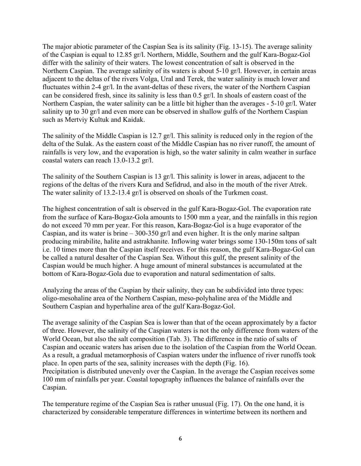The major abiotic parameter of the Caspian Sea is its salinity (Fig. 13-15). The average salinity of the Caspian is equal to 12.85 gr/l. Northern, Middle, Southern and the gulf Kara-Bogaz-Gol differ with the salinity of their waters. The lowest concentration of salt is observed in the Northern Caspian. The average salinity of its waters is about 5-10 gr/l. However, in certain areas adjacent to the deltas of the rivers Volga, Ural and Terek, the water salinity is much lower and fluctuates within 2-4 gr/l. In the avant-deltas of these rivers, the water of the Northern Caspian can be considered fresh, since its salinity is less than 0.5 gr/l. In shoals of eastern coast of the Northern Caspian, the water salinity can be a little bit higher than the averages - 5-10 gr/l. Water salinity up to 30 gr/l and even more can be observed in shallow gulfs of the Northern Caspian such as Mertviy Kultuk and Kaidak.

The salinity of the Middle Caspian is 12.7 gr/l. This salinity is reduced only in the region of the delta of the Sulak. As the eastern coast of the Middle Caspian has no river runoff, the amount of rainfalls is very low, and the evaporation is high, so the water salinity in calm weather in surface coastal waters can reach 13.0-13.2 gr/l.

The salinity of the Southern Caspian is 13 gr/l. This salinity is lower in areas, adjacent to the regions of the deltas of the rivers Kura and Sefidrud, and also in the mouth of the river Atrek. The water salinity of 13.2-13.4 gr/l is observed on shoals of the Turkmen coast.

The highest concentration of salt is observed in the gulf Kara-Bogaz-Gol. The evaporation rate from the surface of Kara-Bogaz-Golа amounts to 1500 mm a year, and the rainfalls in this region do not exceed 70 mm per year. For this reason, Kara-Bogaz-Gol is a huge evaporator of the Caspian, and its water is brine  $-300-350$  gr/l and even higher. It is the only marine saltpan producing mirabilite, halite and astrakhanite. Inflowing water brings some 130-150m tons of salt i.e. 10 times more than the Caspian itself receives. For this reason, the gulf Kara-Bogaz-Gol can be called a natural desalter of the Caspian Sea. Without this gulf, the present salinity of the Caspian would be much higher. A huge amount of mineral substances is accumulated at the bottom of Kara-Bogaz-Golа due to evaporation and natural sedimentation of salts.

Analyzing the areas of the Caspian by their salinity, they can be subdivided into three types: oligo-mesohaline area of the Northern Caspian, meso-polyhaline area of the Middle and Southern Caspian and hyperhaline area of the gulf Kara-Bogaz-Gol.

The average salinity of the Caspian Sea is lower than that of the ocean approximately by a factor of three. However, the salinity of the Caspian waters is not the only difference from waters of the World Ocean, but also the salt composition (Tab. 3). The difference in the ratio of salts of Caspian and oceanic waters has arisen due to the isolation of the Caspian from the World Ocean. As a result, a gradual metamorphosis of Caspian waters under the influence of river runoffs took place. In open parts of the sea, salinity increases with the depth (Fig. 16). Precipitation is distributed unevenly over the Caspian. In the average the Caspian receives some 100 mm of rainfalls per year. Coastal topography influences the balance of rainfalls over the Caspian.

The temperature regime of the Caspian Sea is rather unusual (Fig. 17). On the one hand, it is characterized by considerable temperature differences in wintertime between its northern and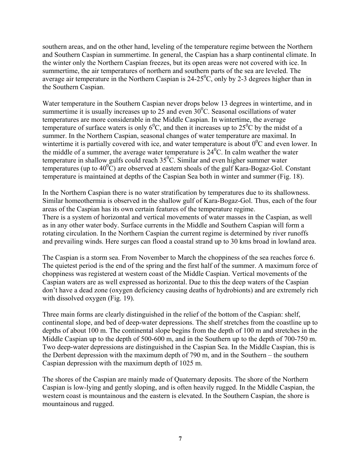southern areas, and on the other hand, leveling of the temperature regime between the Northern and Southern Caspian in summertime. In general, the Caspian has a sharp continental climate. In the winter only the Northern Caspian freezes, but its open areas were not covered with ice. In summertime, the air temperatures of northern and southern parts of the sea are leveled. The average air temperature in the Northern Caspian is 24-25<sup>0</sup>C, only by 2-3 degrees higher than in the Southern Caspian.

Water temperature in the Southern Caspian never drops below 13 degrees in wintertime, and in summertime it is usually increases up to 25 and even  $30^{\circ}$ C. Seasonal oscillations of water temperatures are more considerable in the Middle Caspian. In wintertime, the average temperature of surface waters is only  $6^0C$ , and then it increases up to  $25^0C$  by the midst of a summer. In the Northern Caspian, seasonal changes of water temperature are maximal. In wintertime it is partially covered with ice, and water temperature is about  $0^0C$  and even lower. In the middle of a summer, the average water temperature is  $24<sup>0</sup>C$ . In calm weather the water temperature in shallow gulfs could reach  $35^{\circ}$ C. Similar and even higher summer water temperatures (up to  $40^{\circ}$ C) are observed at eastern shoals of the gulf Kara-Bogaz-Gol. Constant temperature is maintained at depths of the Caspian Sea both in winter and summer (Fig. 18).

In the Northern Caspian there is no water stratification by temperatures due to its shallowness. Similar homeothermia is observed in the shallow gulf of Kara-Bogaz-Gol. Thus, each of the four areas of the Caspian has its own certain features of the temperature regime. There is a system of horizontal and vertical movements of water masses in the Caspian, as well as in any other water body. Surface currents in the Middle and Southern Caspian will form a rotating circulation. In the Northern Caspian the current regime is determined by river runoffs and prevailing winds. Here surges can flood a coastal strand up to 30 kms broad in lowland area.

The Caspian is a storm sea. From November to March the choppiness of the sea reaches force 6. The quietest period is the end of the spring and the first half of the summer. A maximum force of choppiness was registered at western coast of the Middle Caspian. Vertical movements of the Caspian waters are as well expressed as horizontal. Due to this the deep waters of the Caspian don't have a dead zone (oxygen deficiency causing deaths of hydrobionts) and are extremely rich with dissolved oxygen (Fig. 19).

Three main forms are clearly distinguished in the relief of the bottom of the Caspian: shelf, continental slope, and bed of deep-water depressions. The shelf stretches from the coastline up to depths of about 100 m. The continental slope begins from the depth of 100 m and stretches in the Middle Caspian up to the depth of 500-600 m, and in the Southern up to the depth of 700-750 m. Two deep-water depressions are distinguished in the Caspian Sea. In the Middle Caspian, this is the Derbent depression with the maximum depth of 790 m, and in the Southern – the southern Caspian depression with the maximum depth of 1025 m.

The shores of the Caspian are mainly made of Quaternary deposits. The shore of the Northern Caspian is low-lying and gently sloping, and is often heavily rugged. In the Middle Caspian, the western coast is mountainous and the eastern is elevated. In the Southern Caspian, the shore is mountainous and rugged.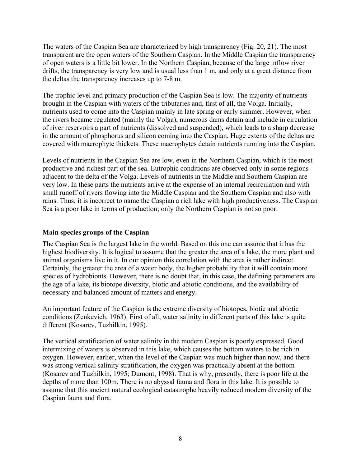The waters of the Caspian Sea are characterized by high transparency (Fig. 20, 21). The most transparent are the open waters of the Southern Caspian. In the Middle Caspian the transparency of open waters is a little bit lower. In the Northern Caspian, because of the large inflow river drifts, the transparency is very low and is usual less than 1 m, and only at a great distance from the deltas the transparency increases up to 7-8 m.

The trophic level and primary production of the Caspian Sea is low. The majority of nutrients brought in the Caspian with waters of the tributaries and, first of all, the Volga. Initially, nutrients used to come into the Caspian mainly in late spring or early summer. However, when the rivers became regulated (mainly the Volga), numerous dams detain and include in circulation of river reservoirs a part of nutrients (dissolved and suspended), which leads to a sharp decrease in the amount of phosphorus and silicon coming into the Caspian. Huge extents of the deltas are covered with macrophyte thickets. These macrophytes detain nutrients running into the Caspian.

Levels of nutrients in the Caspian Sea are low, even in the Northern Caspian, which is the most productive and richest part of the sea. Eutrophic conditions are observed only in some regions adjacent to the delta of the Volga. Levels of nutrients in the Middle and Southern Caspian are very low. In these parts the nutrients arrive at the expense of an internal recirculation and with small runoff of rivers flowing into the Middle Caspian and the Southern Caspian and also with rains. Thus, it is incorrect to name the Caspian a rich lake with high productiveness. The Caspian Sea is a poor lake in terms of production; only the Northern Caspian is not so poor.

## **Main species groups of the Caspian**

The Caspian Sea is the largest lake in the world. Based on this one can assume that it has the highest biodiversity. It is logical to assume that the greater the area of a lake, the more plant and animal organisms live in it. In our opinion this correlation with the area is rather indirect. Certainly, the greater the area of a water body, the higher probability that it will contain more species of hydrobionts. However, there is no doubt that, in this case, the defining parameters are the age of a lake, its biotope diversity, biotic and аbiotic conditions, and the availability of necessary and balanced amount of matters and energy.

An important feature of the Caspian is the extreme diversity of biotopes, biotic and аbiotic conditions (Zenkevich, 1963). First of all, water salinity in different parts of this lake is quite different (Kosarev, Tuzhilkin, 1995).

The vertical stratification of water salinity in the modern Caspian is poorly expressed. Good intermixing of waters is observed in this lake, which causes the bottom waters to be rich in oxygen. However, earlier, when the level of the Caspian was much higher than now, and there was strong vertical salinity stratification, the oxygen was practically absent at the bottom (Kosarev and Tuzhilkin, 1995; Dumont, 1998). That is why, presently, there is poor life at the depths of more than 100m. There is no abyssal fauna and flora in this lake. It is possible to assume that this ancient natural ecological catastrophe heavily reduced modern diversity of the Caspian fauna and flora.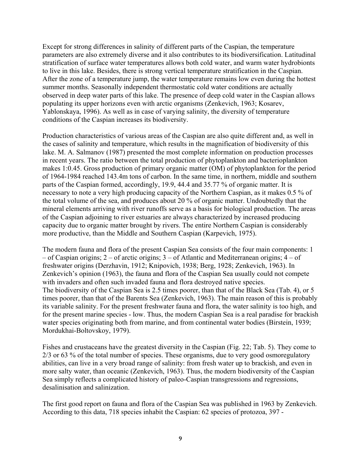Except for strong differences in salinity of different parts of the Caspian, the temperature parameters are also extremely diverse and it also contributes to its biodiversification. Latitudinal stratification of surface water temperatures allows both cold water, and warm water hydrobionts to live in this lake. Besides, there is strong vertical temperature stratification in the Caspian. After the zone of a temperature jump, the water temperature remains low even during the hottest summer months. Seasonally independent thermostatic cold water conditions are actually observed in deep water parts of this lake. The presence of deep cold water in the Caspian allows populating its upper horizons even with arctic organisms (Zenkevich, 1963; Kosarev, Yablonskaya, 1996). As well as in case of varying salinity, the diversity of temperature conditions of the Caspian increases its biodiversity.

Production characteristics of various areas of the Caspian are also quite different and, as well in the cases of salinity and temperature, which results in the magnification of biodiversity of this lake. M. A. Salmanov (1987) presented the most complete information on production processes in recent years. The ratio between the total production of phytoplankton and bacterioplankton makes 1:0.45. Gross production of primary organic matter (OM) of phytoplankton for the period of 1964-1984 reached 143.4m tons of carbon. In the same time, in northern, middle and southern parts of the Caspian formed, accordingly, 19.9, 44.4 and 35.77 % of organic matter. It is necessary to note a very high producing capacity of the Northern Caspian, as it makes 0.5 % of the total volume of the sea, and produces about 20 % of organic matter. Undoubtedly that the mineral elements arriving with river runoffs serve as a basis for biological production. The areas of the Caspian adjoining to river estuaries are always characterized by increased producing capacity due to organic matter brought by rivers. The entire Northern Caspian is considerably more productive, than the Middle and Southern Caspian (Karpevich, 1975).

The modern fauna and flora of the present Caspian Sea consists of the four main components: 1 – of Caspian origins; 2 – of arctic origins; 3 – of Atlantic and Mediterranean origins; 4 – of freshwater origins (Derzhavin, 1912; Knipovich, 1938; Berg, 1928; Zenkevich, 1963). In Zenkevich's opinion (1963), the fauna and flora of the Caspian Sea usually could not compete with invaders and often such invaded fauna and flora destroyed native species. The biodiversity of the Caspian Sea is 2.5 times poorer, than that of the Black Sea (Tab. 4), or 5 times poorer, than that of the Barents Sea (Zenkevich, 1963). The main reason of this is probably its variable salinity. For the present freshwater fauna and flora, the water salinity is too high, and for the present marine species - low. Thus, the modern Caspian Sea is a real paradise for brackish water species originating both from marine, and from continental water bodies (Birstein, 1939; Mordukhai-Boltovskoy, 1979).

Fishes and crustaceans have the greatest diversity in the Caspian (Fig. 22; Tab. 5). They come to 2/3 or 63 % of the total number of species. These organisms, due to very good osmoregulatory abilities, can live in a very broad range of salinity: from fresh water up to brackish, and even in more salty water, than oceanic (Zenkevich, 1963). Thus, the modern biodiversity of the Caspian Sea simply reflects a complicated history of paleo-Caspian transgressions and regressions, desalinisation and salinization.

The first good report on fauna and flora of the Caspian Sea was published in 1963 by Zenkevich. According to this data, 718 species inhabit the Caspian: 62 species of protozoa, 397 -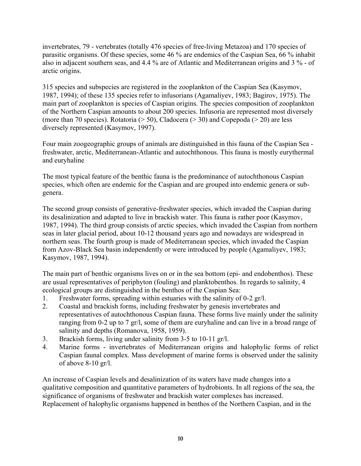invertebrates, 79 - vertebrates (totally 476 species of free-living Metazoa) and 170 species of parasitic organisms. Of these species, some 46 % are endemics of the Caspian Sea, 66 % inhabit also in adjacent southern seas, and 4.4 % are of Atlantic and Mediterranean origins and 3 % - of arctic origins.

315 species and subspecies are registered in the zooplankton of the Caspian Sea (Kasymov, 1987, 1994); of these 135 species refer to infusorians (Agamaliyev, 1983; Bagirov, 1975). The main part of zooplankton is species of Caspian origins. The species composition of zooplankton of the Northern Caspian amounts to about 200 species. Infusoria are represented most diversely (more than 70 species). Rotatoria ( $> 50$ ), Cladocera ( $> 30$ ) and Copepoda ( $> 20$ ) are less diversely represented (Kasymov, 1997).

Four main zoogeographic groups of animals are distinguished in this fauna of the Caspian Sea freshwater, arctic, Mediterranean-Atlantic and autochthonous. This fauna is mostly eurythermal and euryhaline

The most typical feature of the benthic fauna is the predominance of autochthonous Caspian species, which often are endemic for the Caspian and are grouped into endemic genera or subgenera.

The second group consists of generative-freshwater species, which invaded the Caspian during its desalinization and adapted to live in brackish water. This fauna is rather poor (Kasymov, 1987, 1994). The third group consists of arctic species, which invaded the Caspian from northern seas in later glacial period, about 10-12 thousand years ago and nowadays are widespread in northern seas. The fourth group is made of Mediterranean species, which invaded the Caspian from Azov-Black Sea basin independently or were introduced by people (Agamaliyev, 1983; Kasymov, 1987, 1994).

The main part of benthic organisms lives on or in the sea bottom (epi- and endobenthos). These are usual representatives of periphyton (fouling) and planktobenthos. In regards to salinity, 4 ecological groups are distinguished in the benthos of the Caspian Sea:

- 1. Freshwater forms, spreading within estuaries with the salinity of 0-2 gr/l.
- 2. Coastal and brackish forms, including freshwater by genesis invertebrates and representatives of autochthonous Caspian fauna. These forms live mainly under the salinity ranging from 0-2 up to 7 gr/l, some of them are euryhaline and can live in a broad range of salinity and depths (Romanova, 1958, 1959).
- 3. Brackish forms, living under salinity from 3-5 to 10-11 gr/l.
- 4. Marine forms invertebrates of Mediterranean origins and halophylic forms of relict Caspian faunal complex. Mass development of marine forms is observed under the salinity of above 8-10 gr/l.

An increase of Caspian levels and desalinization of its waters have made changes into a qualitative composition and quantitative parameters of hydrobionts. In all regions of the sea, the significance of organisms of freshwater and brackish water complexes has increased. Replacement of halophylic organisms happened in benthos of the Northern Caspian, and in the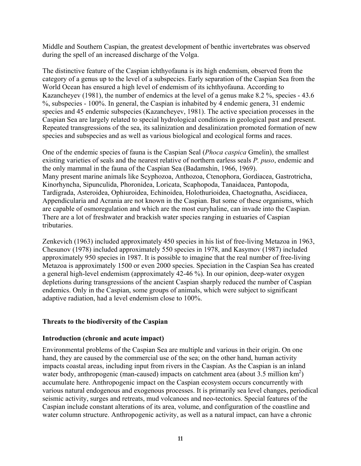Middle and Southern Caspian, the greatest development of benthic invertebrates was observed during the spell of an increased discharge of the Volga.

The distinctive feature of the Caspian ichthyofauna is its high endemism, observed from the category of a genus up to the level of a subspecies. Early separation of the Caspian Sea from the World Ocean has ensured a high level of endemism of its ichthyofauna. According to Kazancheyev (1981), the number of endemics at the level of a genus make 8.2 %, species - 43.6 %, subspecies - 100%. In general, the Caspian is inhabited by 4 endemic genera, 31 endemic species and 45 endemic subspecies (Kazancheyev, 1981). The active speciation processes in the Caspian Sea are largely related to special hydrological conditions in geological past and present. Repeated transgressions of the sea, its salinization and desalinization promoted formation of new species and subspecies and as well as various biological and ecological forms and races.

One of the endemic species of fauna is the Caspian Seal (*Phoca caspica* Gmelin), the smallest existing varieties of seals and the nearest relative of northern earless seals *Р. puso*, endemic and the only mammal in the fauna of the Caspian Sea (Badamshin, 1966, 1969). Many present marine animals like Scyphozoa, Anthozoa, Ctenophora, Gordiacea, Gastrotricha, Kinorhyncha, Sipunculida, Phoronidea, Loricata, Scaphopoda, Tanaidacea, Pantopoda, Tardigrada, Asteroidea, Ophiuroidea, Echinoidea, Holothurioidea, Chaetognatha, Ascidiacea, Appendicularia and Acrania are not known in the Caspian. But some of these organisms, which are capable of osmoregulation and which are the most euryhaline, can invade into the Caspian. There are a lot of freshwater and brackish water species ranging in estuaries of Caspian tributaries.

Zenkevich (1963) included approximately 450 species in his list of free-living Metazoa in 1963, Chesunov (1978) included approximately 550 species in 1978, and Kasymov (1987) included approximately 950 species in 1987. It is possible to imagine that the real number of free-living Metazoa is approximately 1500 or even 2000 species. Speciation in the Caspian Sea has created a general high-level endemism (approximately 42-46 %). In our opinion, deep-water oxygen depletions during transgressions of the ancient Caspian sharply reduced the number of Caspian endemics. Only in the Caspian, some groups of animals, which were subject to significant adaptive radiation, had a level endemism close to 100%.

## **Threats to the biodiversity of the Caspian**

## **Introduction (chronic and acute impact)**

Environmental problems of the Caspian Sea are multiple and various in their origin. On one hand, they are caused by the commercial use of the sea; on the other hand, human activity impacts coastal areas, including input from rivers in the Caspian. As the Caspian is an inland water body, anthropogenic (man-caused) impacts on catchment area (about  $3.5$  million km<sup>2</sup>) accumulate here. Anthropogenic impact on the Caspian ecosystem occurs concurrently with various natural endogenous and exogenous processes. It is primarily sea level changes, periodical seismic activity, surges and retreats, mud volcanoes and neo-tectonics. Special features of the Caspian include constant alterations of its area, volume, and configuration of the coastline and water column structure. Anthropogenic activity, as well as a natural impact, can have a chronic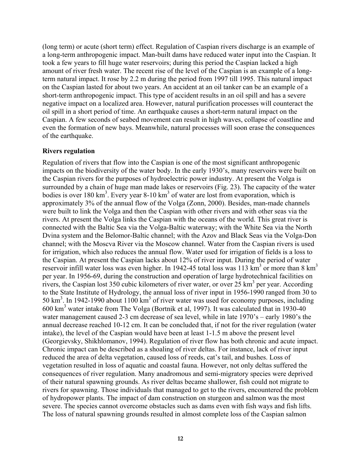(long term) or acute (short term) effect. Regulation of Caspian rivers discharge is an example of a long-term anthropogenic impact. Man-built dams have reduced water input into the Caspian. It took a few years to fill huge water reservoirs; during this period the Caspian lacked a high amount of river fresh water. The recent rise of the level of the Caspian is an example of a longterm natural impact. It rose by 2.2 m during the period from 1997 till 1995. This natural impact on the Caspian lasted for about two years. An accident at an oil tanker can be an example of a short-term anthropogenic impact. This type of accident results in an oil spill and has a severe negative impact on a localized area. However, natural purification processes will counteract the oil spill in a short period of time. An earthquake causes a short-term natural impact on the Caspian. A few seconds of seabed movement can result in high waves, collapse of coastline and even the formation of new bays. Meanwhile, natural processes will soon erase the consequences of the earthquake.

#### **Rivers regulation**

Regulation of rivers that flow into the Caspian is one of the most significant anthropogenic impacts on the biodiversity of the water body. In the early 1930's, many reservoirs were built on the Caspian rivers for the purposes of hydroelectric power industry. At present the Volga is surrounded by a chain of huge man made lakes or reservoirs (Fig. 23). The capacity of the water bodies is over 180  $\text{km}^3$ . Every year 8-10  $\text{km}^3$  of water are lost from evaporation, which is approximately 3% of the annual flow of the Volga (Zonn, 2000). Besides, man-made channels were built to link the Volga and then the Caspian with other rivers and with other seas via the rivers. At present the Volga links the Caspian with the oceans of the world. This great river is connected with the Baltic Sea via the Volga-Baltic waterway; with the White Sea via the North Dvina system and the Belomor-Baltic channel; with the Azov and Black Seas via the Volga-Don channel; with the Moscva River via the Moscow channel. Water from the Caspian rivers is used for irrigation, which also reduces the annual flow. Water used for irrigation of fields is a loss to the Caspian. At present the Caspian lacks about 12% of river input. During the period of water reservoir infill water loss was even higher. In 1942-45 total loss was 113 km<sup>3</sup> or more than 8 km<sup>3</sup> per year. In 1956-69, during the construction and operation of large hydrotechnical facilities on rivers, the Caspian lost  $350$  cubic kilometers of river water, or over  $25 \text{ km}^3$  per year. According to the State Institute of Hydrology, the annual loss of river input in 1956-1990 ranged from 30 to 50 km<sup>3</sup>. In 1942-1990 about 1100 km<sup>3</sup> of river water was used for economy purposes, including 600 km3 water intake from The Volga (Bortnik et al, 1997). It was calculated that in 1930-40 water management caused 2-3 cm decrease of sea level, while in late 1970's – early 1980's the annual decrease reached 10-12 cm. It can be concluded that, if not for the river regulation (water intake), the level of the Caspian would have been at least 1-1.5 m above the present level (Georgievsky, Shikhlomanov, 1994). Regulation of river flow has both chronic and acute impact. Chronic impact can be described as a shoaling of river deltas. For instance, lack of river input reduced the area of delta vegetation, caused loss of reeds, cat's tail, and bushes. Loss of vegetation resulted in loss of aquatic and coastal fauna. However, not only deltas suffered the consequences of river regulation. Many anadromous and semi-migratory species were deprived of their natural spawning grounds. As river deltas became shallower, fish could not migrate to rivers for spawning. Those individuals that managed to get to the rivers, encountered the problem of hydropower plants. The impact of dam construction on sturgeon and salmon was the most severe. The species cannot overcome obstacles such as dams even with fish ways and fish lifts. The loss of natural spawning grounds resulted in almost complete loss of the Caspian salmon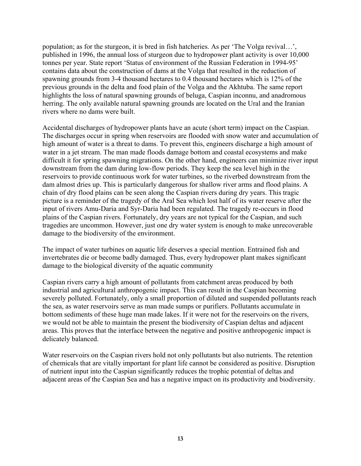population; as for the sturgeon, it is bred in fish hatcheries. As per 'The Volga revival…', published in 1996, the annual loss of sturgeon due to hydropower plant activity is over 10,000 tonnes per year. State report 'Status of environment of the Russian Federation in 1994-95' contains data about the construction of dams at the Volga that resulted in the reduction of spawning grounds from 3-4 thousand hectares to 0.4 thousand hectares which is 12% of the previous grounds in the delta and food plain of the Volga and the Akhtuba. The same report highlights the loss of natural spawning grounds of beluga, Caspian inconnu, and anadromous herring. The only available natural spawning grounds are located on the Ural and the Iranian rivers where no dams were built.

Accidental discharges of hydropower plants have an acute (short term) impact on the Caspian. The discharges occur in spring when reservoirs are flooded with snow water and accumulation of high amount of water is a threat to dams. To prevent this, engineers discharge a high amount of water in a jet stream. The man made floods damage bottom and coastal ecosystems and make difficult it for spring spawning migrations. On the other hand, engineers can minimize river input downstream from the dam during low-flow periods. They keep the sea level high in the reservoirs to provide continuous work for water turbines, so the riverbed downstream from the dam almost dries up. This is particularly dangerous for shallow river arms and flood plains. A chain of dry flood plains can be seen along the Caspian rivers during dry years. This tragic picture is a reminder of the tragedy of the Aral Sea which lost half of its water reserve after the input of rivers Amu-Daria and Syr-Daria had been regulated. The tragedy re-occurs in flood plains of the Caspian rivers. Fortunately, dry years are not typical for the Caspian, and such tragedies are uncommon. However, just one dry water system is enough to make unrecoverable damage to the biodiversity of the environment.

The impact of water turbines on aquatic life deserves a special mention. Entrained fish and invertebrates die or become badly damaged. Thus, every hydropower plant makes significant damage to the biological diversity of the aquatic community

Caspian rivers carry a high amount of pollutants from catchment areas produced by both industrial and agricultural anthropogenic impact. This can result in the Caspian becoming severely polluted. Fortunately, only a small proportion of diluted and suspended pollutants reach the sea, as water reservoirs serve as man made sumps or purifiers. Pollutants accumulate in bottom sediments of these huge man made lakes. If it were not for the reservoirs on the rivers, we would not be able to maintain the present the biodiversity of Caspian deltas and adjacent areas. This proves that the interface between the negative and positive anthropogenic impact is delicately balanced.

Water reservoirs on the Caspian rivers hold not only pollutants but also nutrients. The retention of chemicals that are vitally important for plant life cannot be considered as positive. Disruption of nutrient input into the Caspian significantly reduces the trophic potential of deltas and adjacent areas of the Caspian Sea and has a negative impact on its productivity and biodiversity.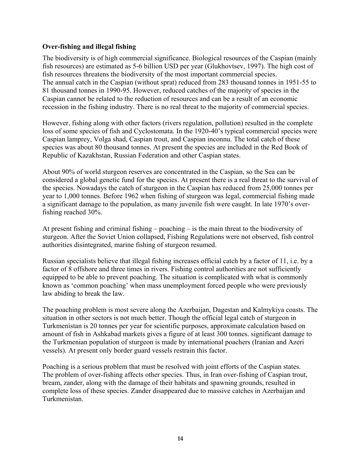### **Over-fishing and illegal fishing**

The biodiversity is of high commercial significance. Biological resources of the Caspian (mainly fish resources) are estimated as 5-6 billion USD per year (Glukhovtsev, 1997). The high cost of fish resources threatens the biodiversity of the most important commercial species. The annual catch in the Caspian (without sprat) reduced from 283 thousand tonnes in 1951-55 to 81 thousand tonnes in 1990-95. However, reduced catches of the majority of species in the Caspian cannot be related to the reduction of resources and can be a result of an economic recession in the fishing industry. There is no real threat to the majority of commercial species.

However, fishing along with other factors (rivers regulation, pollution) resulted in the complete loss of some species of fish and Cyclostomata. In the 1920-40's typical commercial species were Caspian lamprey, Volga shad, Caspian trout, and Caspian inconnu. The total catch of these species was about 80 thousand tonnes. At present the species are included in the Red Book of Republic of Kazakhstan, Russian Federation and other Caspian states.

About 90% of world sturgeon reserves are concentrated in the Caspian, so the Sea can be considered a global genetic fund for the species. At present there is a real threat to the survival of the species. Nowadays the catch of sturgeon in the Caspian has reduced from 25,000 tonnes per year to 1,000 tonnes. Before 1962 when fishing of sturgeon was legal, commercial fishing made a significant damage to the population, as many juvenile fish were caught. In late 1970's overfishing reached 30%.

At present fishing and criminal fishing – poaching – is the main threat to the biodiversity of sturgeon. After the Soviet Union collapsed, Fishing Regulations were not observed, fish control authorities disintegrated, marine fishing of sturgeon resumed.

Russian specialists believe that illegal fishing increases official catch by a factor of 11, i.e. by a factor of 8 offshore and three times in rivers. Fishing control authorities are not sufficiently equipped to be able to prevent poaching. The situation is complicated with what is commonly known as 'common poaching' when mass unemployment forced people who were previously law abiding to break the law.

The poaching problem is most severe along the Azerbaijan, Dagestan and Kalmykiya coasts. The situation in other sectors is not much better. Though the official legal catch of sturgeon in Turkmenistan is 20 tonnes per year for scientific purposes, approximate calculation based on amount of fish in Ashkabad markets gives a figure of at least 300 tonnes. significant damage to the Turkmenian population of sturgeon is made by international poachers (Iranian and Azeri vessels). At present only border guard vessels restrain this factor.

Poaching is a serious problem that must be resolved with joint efforts of the Caspian states. The problem of over-fishing affects other species. Thus, in Iran over-fishing of Caspian trout, bream, zander, along with the damage of their habitats and spawning grounds, resulted in complete loss of these species. Zander disappeared due to massive catches in Azerbaijan and Turkmenistan.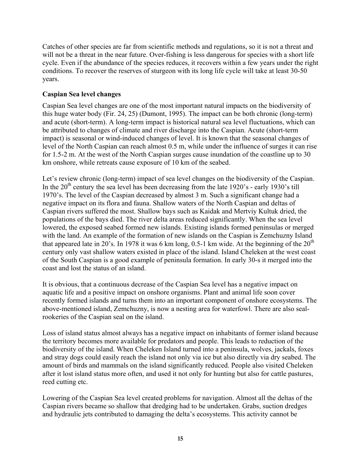Catches of other species are far from scientific methods and regulations, so it is not a threat and will not be a threat in the near future. Over-fishing is less dangerous for species with a short life cycle. Even if the abundance of the species reduces, it recovers within a few years under the right conditions. To recover the reserves of sturgeon with its long life cycle will take at least 30-50 years.

# **Caspian Sea level changes**

Caspian Sea level changes are one of the most important natural impacts on the biodiversity of this huge water body (Fir. 24, 25) (Dumont, 1995). The impact can be both chronic (long-term) and acute (short-term). A long-term impact is historical natural sea level fluctuations, which can be attributed to changes of climate and river discharge into the Caspian. Acute (short-term impact) is seasonal or wind-induced changes of level. It is known that the seasonal changes of level of the North Caspian can reach almost 0.5 m, while under the influence of surges it can rise for 1.5-2 m. At the west of the North Caspian surges cause inundation of the coastline up to 30 km onshore, while retreats cause exposure of 10 km of the seabed.

Let's review chronic (long-term) impact of sea level changes on the biodiversity of the Caspian. In the  $20<sup>th</sup>$  century the sea level has been decreasing from the late 1920's - early 1930's till 1970's. The level of the Caspian decreased by almost 3 m. Such a significant change had a negative impact on its flora and fauna. Shallow waters of the North Caspian and deltas of Caspian rivers suffered the most. Shallow bays such as Kaidak and Mertviy Kultuk dried, the populations of the bays died. The river delta areas reduced significantly. When the sea level lowered, the exposed seabed formed new islands. Existing islands formed peninsulas or merged with the land. An example of the formation of new islands on the Caspian is Zemchuzny Island that appeared late in 20's. In 1978 it was 6 km long, 0.5-1 km wide. At the beginning of the  $20<sup>th</sup>$ century only vast shallow waters existed in place of the island. Island Cheleken at the west coast of the South Caspian is a good example of peninsula formation. In early 30-s it merged into the coast and lost the status of an island.

It is obvious, that a continuous decrease of the Caspian Sea level has a negative impact on aquatic life and a positive impact on onshore organisms. Plant and animal life soon cover recently formed islands and turns them into an important component of onshore ecosystems. The above-mentioned island, Zemchuzny, is now a nesting area for waterfowl. There are also sealrookeries of the Caspian seal on the island.

Loss of island status almost always has a negative impact on inhabitants of former island because the territory becomes more available for predators and people. This leads to reduction of the biodiversity of the island. When Cheleken Island turned into a peninsula, wolves, jackals, foxes and stray dogs could easily reach the island not only via ice but also directly via dry seabed. The amount of birds and mammals on the island significantly reduced. People also visited Cheleken after it lost island status more often, and used it not only for hunting but also for cattle pastures, reed cutting etc.

Lowering of the Caspian Sea level created problems for navigation. Almost all the deltas of the Caspian rivers became so shallow that dredging had to be undertaken. Grabs, suction dredges and hydraulic jets contributed to damaging the delta's ecosystems. This activity cannot be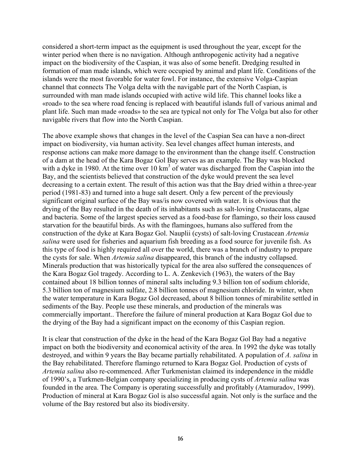considered a short-term impact as the equipment is used throughout the year, except for the winter period when there is no navigation. Although anthropogenic activity had a negative impact on the biodiversity of the Caspian, it was also of some benefit. Dredging resulted in formation of man made islands, which were occupied by animal and plant life. Conditions of the islands were the most favorable for water fowl. For instance, the extensive Volga-Caspian channel that connects The Volga delta with the navigable part of the North Caspian, is surrounded with man made islands occupied with active wild life. This channel looks like a «road» to the sea where road fencing is replaced with beautiful islands full of various animal and plant life. Such man made «roads» to the sea are typical not only for The Volga but also for other navigable rivers that flow into the North Caspian.

The above example shows that changes in the level of the Caspian Sea can have a non-direct impact on biodiversity, via human activity. Sea level changes affect human interests, and response actions can make more damage to the environment than the change itself. Construction of a dam at the head of the Kara Bogaz Gol Bay serves as an example. The Bay was blocked with a dyke in 1980. At the time over  $10 \text{ km}^3$  of water was discharged from the Caspian into the Bay, and the scientists believed that construction of the dyke would prevent the sea level decreasing to a certain extent. The result of this action was that the Bay dried within a three-year period (1981-83) and turned into a huge salt desert. Only a few percent of the previously significant original surface of the Bay was/is now covered with water. It is obvious that the drying of the Bay resulted in the death of its inhabitants such as salt-loving Crustaceans, algae and bacteria. Some of the largest species served as a food-base for flamingo, so their loss caused starvation for the beautiful birds. As with the flamingoes, humans also suffered from the construction of the dyke at Kara Bogaz Gol. Nauplii (cysts) of salt-loving Crustacean *Artemia salina* were used for fisheries and aquarium fish breeding as a food source for juvenile fish. As this type of food is highly required all over the world, there was a branch of industry to prepare the cysts for sale. When *Artemia salina* disappeared, this branch of the industry collapsed. Minerals production that was historically typical for the area also suffered the consequences of the Kara Bogaz Gol tragedy. According to L. A. Zenkevich (1963), the waters of the Bay contained about 18 billion tonnes of mineral salts including 9.3 billion ton of sodium chloride, 5.3 billion ton of magnesium sulfate, 2.8 billion tonnes of magnesium chloride. In winter, when the water temperature in Kara Bogaz Gol decreased, about 8 billion tonnes of mirabilite settled in sediments of the Bay. People use these minerals, and production of the minerals was commercially important.. Therefore the failure of mineral production at Kara Bogaz Gol due to the drying of the Bay had a significant impact on the economy of this Caspian region.

It is clear that construction of the dyke in the head of the Kara Bogaz Gol Bay had a negative impact on both the biodiversity and economical activity of the area. In 1992 the dyke was totally destroyed, and within 9 years the Bay became partially rehabilitated. A population of *A. salina* in the Bay rehabilitated. Therefore flamingo returned to Kara Bogaz Gol. Production of cysts of *Artemia salina* also re-commenced. After Turkmenistan claimed its independence in the middle of 1990's, a Turkmen-Belgian company specializing in producing cysts of *Artemia salina* was founded in the area. The Company is operating successfully and profitably (Atamuradov, 1999). Production of mineral at Kara Bogaz Gol is also successful again. Not only is the surface and the volume of the Bay restored but also its biodiversity.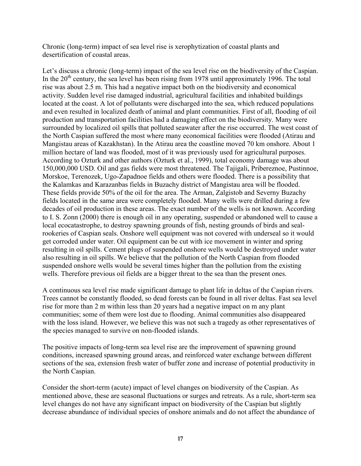Chronic (long-term) impact of sea level rise is xerophytization of coastal plants and desertification of coastal areas.

Let's discuss a chronic (long-term) impact of the sea level rise on the biodiversity of the Caspian. In the  $20<sup>th</sup>$  century, the sea level has been rising from 1978 until approximately 1996. The total rise was about 2.5 m. This had a negative impact both on the biodiversity and economical activity. Sudden level rise damaged industrial, agricultural facilities and inhabited buildings located at the coast. A lot of pollutants were discharged into the sea, which reduced populations and even resulted in localized death of animal and plant communities. First of all, flooding of oil production and transportation facilities had a damaging effect on the biodiversity. Many were surrounded by localized oil spills that polluted seawater after the rise occurred. The west coast of the North Caspian suffered the most where many economical facilities were flooded (Atirau and Mangistau areas of Kazakhstan). In the Atirau area the coastline moved 70 km onshore. About 1 million hectare of land was flooded, most of it was previously used for agricultural purposes. According to Ozturk and other authors (Ozturk et al., 1999), total economy damage was about 150,000,000 USD. Oil and gas fields were most threatened. The Tajigali, Pribereznoe, Pustinnoe, Morskoe, Terenozek, Ugo-Zapadnoe fields and others were flooded. There is a possibility that the Kalamkas and Karazanbas fields in Buzachy district of Mangistau area will be flooded. These fields provide 50% of the oil for the area. The Arman, Zalgistob and Severny Buzachy fields located in the same area were completely flooded. Many wells were drilled during a few decades of oil production in these areas. The exact number of the wells is not known. According to I. S. Zonn (2000) there is enough oil in any operating, suspended or abandoned well to cause a local ecocatastrophe, to destroy spawning grounds of fish, nesting grounds of birds and sealrookeries of Caspian seals. Onshore well equipment was not covered with underseal so it would get corroded under water. Oil equipment can be cut with ice movement in winter and spring resulting in oil spills. Cement plugs of suspended onshore wells would be destroyed under water also resulting in oil spills. We believe that the pollution of the North Caspian from flooded suspended onshore wells would be several times higher than the pollution from the existing wells. Therefore previous oil fields are a bigger threat to the sea than the present ones.

A continuous sea level rise made significant damage to plant life in deltas of the Caspian rivers. Trees cannot be constantly flooded, so dead forests can be found in all river deltas. Fast sea level rise for more than 2 m within less than 20 years had a negative impact on m any plant communities; some of them were lost due to flooding. Animal communities also disappeared with the loss island. However, we believe this was not such a tragedy as other representatives of the species managed to survive on non-flooded islands.

The positive impacts of long-term sea level rise are the improvement of spawning ground conditions, increased spawning ground areas, and reinforced water exchange between different sections of the sea, extension fresh water of buffer zone and increase of potential productivity in the North Caspian.

Consider the short-term (acute) impact of level changes on biodiversity of the Caspian. As mentioned above, these are seasonal fluctuations or surges and retreats. As a rule, short-term sea level changes do not have any significant impact on biodiversity of the Caspian but slightly decrease abundance of individual species of onshore animals and do not affect the abundance of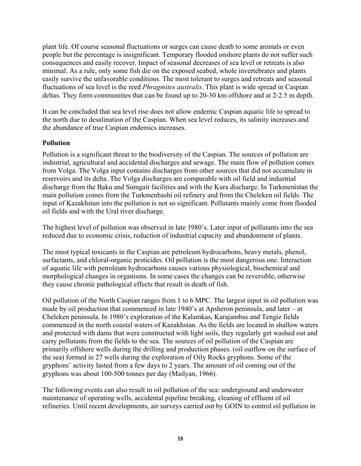plant life. Of course seasonal fluctuations or surges can cause death to some animals or even people but the percentage is insignificant. Temporary flooded onshore plants do not suffer such consequences and easily recover. Impact of seasonal decreases of sea level or retreats is also minimal. As a rule, only some fish die on the exposed seabed, whole invertebrates and plants easily survive the unfavorable conditions. The most tolerant to surges and retreats and seasonal fluctuations of sea level is the reed *Phragmites australis*. This plant is wide spread in Caspian deltas. They form communities that can be found up to 20-30 km offshore and at 2-2.5 m depth.

It can be concluded that sea level rise does not allow endemic Caspian aquatic life to spread to the north due to desalination of the Caspian. When sea level reduces, its salinity increases and the abundance of true Caspian endemics increases.

### **Pollution**

Pollution is a significant threat to the biodiversity of the Caspian. The sources of pollution are industrial, agricultural and accidental discharges and sewage. The main flow of pollution comes from Volga. The Volga input contains discharges from other sources that did not accumulate in reservoirs and its delta. The Volga discharges are comparable with oil field and industrial discharge from the Baku and Sumgait facilities and with the Kura discharge. In Turkmenistan the main pollution comes from the Turkmenbashi oil refinery and from the Cheleken oil fields. The input of Kazakhstan into the pollution is not so significant. Pollutants mainly come from flooded oil fields and with the Ural river discharge.

The highest level of pollution was observed in late 1980's. Later input of pollutants into the sea reduced due to economic crisis, reduction of industrial capacity and abandonment of plants.

The most typical toxicants in the Caspian are petroleum hydrocarbons, heavy metals, phenol, surfactants, and chloral-organic pesticides. Oil pollution is the most dangerous one. Interaction of aquatic life with petroleum hydrocarbons causes various physiological, biochemical and morphological changes in organisms. In some cases the changes can be reversible, otherwise they cause chronic pathological effects that result in death of fish.

Oil pollution of the North Caspian ranges from 1 to 6 MPC. The largest input in oil pollution was made by oil production that commenced in late 1940's at Apsheron peninsula, and later – at Cheleken peninsula. In 1980's exploration of the Kalamkas, Karajambas and Tengiz fields commenced in the north coastal waters of Kazakhstan. As the fields are located in shallow waters and protected with dams that were constructed with light soils, they regularly get washed out and carry pollutants from the fields to the sea. The sources of oil pollution of the Caspian are primarily offshore wells during the drilling and production phases. (oil outflow on the surface of the sea) formed in 27 wells during the exploration of Oily Rocks gryphons. Some of the gryphons' activity lasted from a few days to 2 years. The amount of oil coming out of the gryphons was about 100-500 tonnes per day (Mailyan, 1966).

The following events can also result in oil pollution of the sea: underground and underwater maintenance of operating wells, accidental pipeline breaking, cleaning of effluent of oil refineries. Until recent developments, air surveys carried out by GOIN to control oil pollution in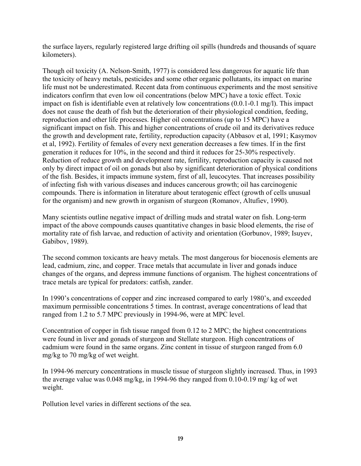the surface layers, regularly registered large drifting oil spills (hundreds and thousands of square kilometers).

Though oil toxicity (A. Nelson-Smith, 1977) is considered less dangerous for aquatic life than the toxicity of heavy metals, pesticides and some other organic pollutants, its impact on marine life must not be underestimated. Recent data from continuous experiments and the most sensitive indicators confirm that even low oil concentrations (below MPC) have a toxic effect. Toxic impact on fish is identifiable even at relatively low concentrations (0.0.1-0.1 mg/l). This impact does not cause the death of fish but the deterioration of their physiological condition, feeding, reproduction and other life processes. Higher oil concentrations (up to 15 MPC) have a significant impact on fish. This and higher concentrations of crude oil and its derivatives reduce the growth and development rate, fertility, reproduction capacity (Abbasov et al, 1991; Kasymov et al, 1992). Fertility of females of every next generation decreases a few times. If in the first generation it reduces for 10%, in the second and third it reduces for 25-30% respectively. Reduction of reduce growth and development rate, fertility, reproduction capacity is caused not only by direct impact of oil on gonads but also by significant deterioration of physical conditions of the fish. Besides, it impacts immune system, first of all, leucocytes. That increases possibility of infecting fish with various diseases and induces cancerous growth; oil has carcinogenic compounds. There is information in literature about teratogenic effect (growth of cells unusual for the organism) and new growth in organism of sturgeon (Romanov, Altufiev, 1990).

Many scientists outline negative impact of drilling muds and stratal water on fish. Long-term impact of the above compounds causes quantitative changes in basic blood elements, the rise of mortality rate of fish larvae, and reduction of activity and orientation (Gorbunov, 1989; Isuyev, Gabibov, 1989).

The second common toxicants are heavy metals. The most dangerous for biocenosis elements are lead, cadmium, zinc, and copper. Trace metals that accumulate in liver and gonads induce changes of the organs, and depress immune functions of organism. The highest concentrations of trace metals are typical for predators: catfish, zander.

In 1990's concentrations of copper and zinc increased compared to early 1980's, and exceeded maximum permissible concentrations 5 times. In contrast, average concentrations of lead that ranged from 1.2 to 5.7 MPC previously in 1994-96, were at MPC level.

Concentration of copper in fish tissue ranged from 0.12 to 2 MPC; the highest concentrations were found in liver and gonads of sturgeon and Stellate sturgeon. High concentrations of cadmium were found in the same organs. Zinc content in tissue of sturgeon ranged from 6.0 mg/kg to 70 mg/kg of wet weight.

In 1994-96 mercury concentrations in muscle tissue of sturgeon slightly increased. Thus, in 1993 the average value was 0.048 mg/kg, in 1994-96 they ranged from 0.10-0.19 mg/ kg of wet weight.

Pollution level varies in different sections of the sea.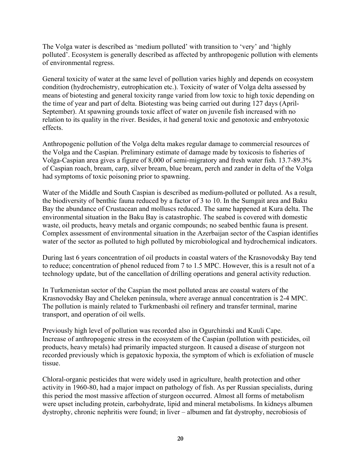The Volga water is described as 'medium polluted' with transition to 'very' and 'highly polluted'. Ecosystem is generally described as affected by anthropogenic pollution with elements of environmental regress.

General toxicity of water at the same level of pollution varies highly and depends on ecosystem condition (hydrochemistry, eutrophication etc.). Toxicity of water of Volga delta assessed by means of biotesting and general toxicity range varied from low toxic to high toxic depending on the time of year and part of delta. Biotesting was being carried out during 127 days (April-September). At spawning grounds toxic affect of water on juvenile fish increased with no relation to its quality in the river. Besides, it had general toxic and genotoxic and embryotoxic effects.

Anthropogenic pollution of the Volga delta makes regular damage to commercial resources of the Volga and the Caspian. Preliminary estimate of damage made by toxicosis to fisheries of Volga-Caspian area gives a figure of 8,000 of semi-migratory and fresh water fish. 13.7-89.3% of Caspian roach, bream, carp, silver bream, blue bream, perch and zander in delta of the Volga had symptoms of toxic poisoning prior to spawning.

Water of the Middle and South Caspian is described as medium-polluted or polluted. As a result, the biodiversity of benthic fauna reduced by a factor of 3 to 10. In the Sumgait area and Baku Bay the abundance of Crustacean and molluscs reduced. The same happened at Kura delta. The environmental situation in the Baku Bay is catastrophic. The seabed is covered with domestic waste, oil products, heavy metals and organic compounds; no seabed benthic fauna is present. Complex assessment of environmental situation in the Azerbaijan sector of the Caspian identifies water of the sector as polluted to high polluted by microbiological and hydrochemical indicators.

During last 6 years concentration of oil products in coastal waters of the Krasnovodsky Bay tend to reduce; concentration of phenol reduced from 7 to 1.5 MPC. However, this is a result not of a technology update, but of the cancellation of drilling operations and general activity reduction.

In Turkmenistan sector of the Caspian the most polluted areas are coastal waters of the Krasnovodsky Bay and Cheleken peninsula, where average annual concentration is 2-4 MPC. The pollution is mainly related to Turkmenbashi oil refinery and transfer terminal, marine transport, and operation of oil wells.

Previously high level of pollution was recorded also in Ogurchinski and Kuuli Cape. Increase of anthropogenic stress in the ecosystem of the Caspian (pollution with pesticides, oil products, heavy metals) had primarily impacted sturgeon. It caused a disease of sturgeon not recorded previously which is gepatoxic hypoxia, the symptom of which is exfoliation of muscle tissue.

Chloral-organic pesticides that were widely used in agriculture, health protection and other activity in 1960-80, had a major impact on pathology of fish. As per Russian specialists, during this period the most massive affection of sturgeon occurred. Almost all forms of metabolism were upset including protein, carbohydrate, lipid and mineral metabolisms. In kidneys albumen dystrophy, chronic nephritis were found; in liver – albumen and fat dystrophy, necrobiosis of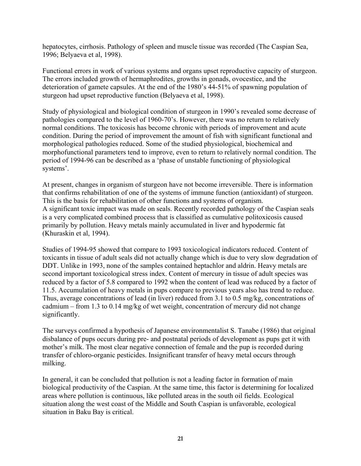hepatocytes, cirrhosis. Pathology of spleen and muscle tissue was recorded (The Caspian Sea, 1996; Belyaeva et al, 1998).

Functional errors in work of various systems and organs upset reproductive capacity of sturgeon. The errors included growth of hermaphrodites, growths in gonads, ovocestice, and the deterioration of gamete capsules. At the end of the 1980's 44-51% of spawning population of sturgeon had upset reproductive function (Belyaeva et al, 1998).

Study of physiological and biological condition of sturgeon in 1990's revealed some decrease of pathologies compared to the level of 1960-70's. However, there was no return to relatively normal conditions. The toxicosis has become chronic with periods of improvement and acute condition. During the period of improvement the amount of fish with significant functional and morphological pathologies reduced. Some of the studied physiological, biochemical and morphofunctional parameters tend to improve, even to return to relatively normal condition. The period of 1994-96 can be described as a 'phase of unstable functioning of physiological systems'.

At present, changes in organism of sturgeon have not become irreversible. There is information that confirms rehabilitation of one of the systems of immune function (antioxidant) of sturgeon. This is the basis for rehabilitation of other functions and systems of organism. A significant toxic impact was made on seals. Recently recorded pathology of the Caspian seals is a very complicated combined process that is classified as cumulative politoxicosis caused primarily by pollution. Heavy metals mainly accumulated in liver and hypodermic fat (Khuraskin et al, 1994).

Studies of 1994-95 showed that compare to 1993 toxicological indicators reduced. Content of toxicants in tissue of adult seals did not actually change which is due to very slow degradation of DDT. Unlike in 1993, none of the samples contained heptachlor and aldrin. Heavy metals are second important toxicological stress index. Content of mercury in tissue of adult species was reduced by a factor of 5.8 compared to 1992 when the content of lead was reduced by a factor of 11.5. Accumulation of heavy metals in pups compare to previous years also has trend to reduce. Thus, average concentrations of lead (in liver) reduced from 3.1 to 0.5 mg/kg, concentrations of cadmium – from 1.3 to 0.14 mg/kg of wet weight, concentration of mercury did not change significantly.

The surveys confirmed a hypothesis of Japanese environmentalist S. Tanabe (1986) that original disbalance of pups occurs during pre- and postnatal periods of development as pups get it with mother's milk. The most clear negative connection of female and the pup is recorded during transfer of chloro-organic pesticides. Insignificant transfer of heavy metal occurs through milking.

In general, it can be concluded that pollution is not a leading factor in formation of main biological productivity of the Caspian. At the same time, this factor is determining for localized areas where pollution is continuous, like polluted areas in the south oil fields. Ecological situation along the west coast of the Middle and South Caspian is unfavorable, ecological situation in Baku Bay is critical.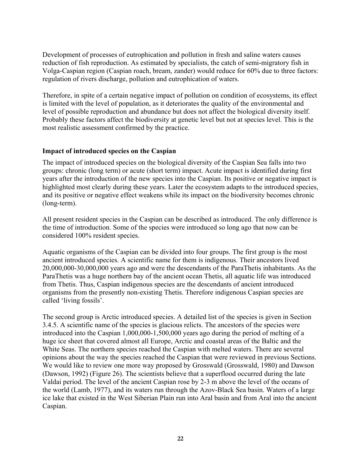Development of processes of eutrophication and pollution in fresh and saline waters causes reduction of fish reproduction. As estimated by specialists, the catch of semi-migratory fish in Volga-Caspian region (Caspian roach, bream, zander) would reduce for 60% due to three factors: regulation of rivers discharge, pollution and eutrophication of waters.

Therefore, in spite of a certain negative impact of pollution on condition of ecosystems, its effect is limited with the level of population, as it deteriorates the quality of the environmental and level of possible reproduction and abundance but does not affect the biological diversity itself. Probably these factors affect the biodiversity at genetic level but not at species level. This is the most realistic assessment confirmed by the practice.

### **Impact of introduced species on the Caspian**

The impact of introduced species on the biological diversity of the Caspian Sea falls into two groups: chronic (long term) or acute (short term) impact. Acute impact is identified during first years after the introduction of the new species into the Caspian. Its positive or negative impact is highlighted most clearly during these years. Later the ecosystem adapts to the introduced species, and its positive or negative effect weakens while its impact on the biodiversity becomes chronic (long-term).

All present resident species in the Caspian can be described as introduced. The only difference is the time of introduction. Some of the species were introduced so long ago that now can be considered 100% resident species.

Aquatic organisms of the Caspian can be divided into four groups. The first group is the most ancient introduced species. A scientific name for them is indigenous. Their ancestors lived 20,000,000-30,000,000 years ago and were the descendants of the ParaThetis inhabitants. As the ParaThetis was a huge northern bay of the ancient ocean Thetis, all aquatic life was introduced from Thetis. Thus, Caspian indigenous species are the descendants of ancient introduced organisms from the presently non-existing Thetis. Therefore indigenous Caspian species are called 'living fossils'.

The second group is Arctic introduced species. A detailed list of the species is given in Section 3.4.5. A scientific name of the species is glacious relicts. The ancestors of the species were introduced into the Caspian 1,000,000-1,500,000 years ago during the period of melting of a huge ice sheet that covered almost all Europe, Arctic and coastal areas of the Baltic and the White Seas. The northern species reached the Caspian with melted waters. There are several opinions about the way the species reached the Caspian that were reviewed in previous Sections. We would like to review one more way proposed by Grosswald (Grosswald, 1980) and Dawson (Dawson, 1992) (Figure 26). The scientists believe that a superflood occurred during the late Valdai period. The level of the ancient Caspian rose by 2-3 m above the level of the oceans of the world (Lamb, 1977), and its waters run through the Azov-Black Sea basin. Waters of a large ice lake that existed in the West Siberian Plain run into Aral basin and from Aral into the ancient Caspian.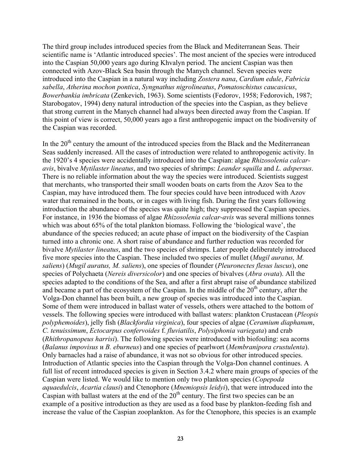The third group includes introduced species from the Black and Mediterranean Seas. Their scientific name is 'Atlantic introduced species'. The most ancient of the species were introduced into the Caspian 50,000 years ago during Khvalyn period. The ancient Caspian was then connected with Azov-Black Sea basin through the Manych channel. Seven species were introduced into the Caspian in a natural way including *Zostera nana*, *Cardium edule*, *Fabricia sabella*, *Atherina mochon pontica*, *Syngnathus nigrolineatus*, *Pomatoschistus caucasicus*, *Bowerbankia imbricata* (Zenkevich, 1963). Some scientists (Fedorov, 1958; Fedorovich, 1987; Starobogatov, 1994) deny natural introduction of the species into the Caspian, as they believe that strong current in the Manych channel had always been directed away from the Caspian. If this point of view is correct, 50,000 years ago a first anthropogenic impact on the biodiversity of the Caspian was recorded.

In the  $20<sup>th</sup>$  century the amount of the introduced species from the Black and the Mediterranean Seas suddenly increased. All the cases of introduction were related to anthropogenic activity. In the 1920's 4 species were accidentally introduced into the Caspian: algae *Rhizosolenia calcaravis*, bivalve *Mytilaster lineatus*, and two species of shrimps: *Leander squilla* and *L. adspersus*. There is no reliable information about the way the species were introduced. Scientists suggest that merchants, who transported their small wooden boats on carts from the Azov Sea to the Caspian, may have introduced them. The four species could have been introduced with Azov water that remained in the boats, or in cages with living fish. During the first years following introduction the abundance of the species was quite high; they suppressed the Caspian species. For instance, in 1936 the biomass of algae *Rhizosolenia calcar-avis* was several millions tonnes which was about 65% of the total plankton biomass. Following the 'biological wave', the abundance of the species reduced; an acute phase of impact on the biodiversity of the Caspian turned into a chronic one. A short raise of abundance and further reduction was recorded for bivalve *Mytilaster lineatus*, and the two species of shrimps. Later people deliberately introduced five more species into the Caspian. These included two species of mullet (*Mugil auratus, M. saliens*) (*Mugil auratus, M. saliens*), one species of flounder (*Pleuronectes flesus luscus*), one species of Polychaeta (*Nereis diversicolor*) and one species of bivalves (*Abra ovata*). All the species adapted to the conditions of the Sea, and after a first abrupt raise of abundance stabilized and became a part of the ecosystem of the Caspian. In the middle of the 20<sup>th</sup> century, after the Volga-Don channel has been built, a new group of species was introduced into the Caspian. Some of them were introduced in ballast water of vessels, others were attached to the bottom of vessels. The following species were introduced with ballast waters: plankton Crustacean (*Pleopis polyphemoides*), jelly fish (*Blackfordia virginica*), four species of algae (*Ceramium diaphanum*, *C. tenuissimum*, *Ectocarpus confervoides* f. *fluviatilis*, *Polysiphonia variegata*) and crab (*Rhithropanopeus harrisi*). The following species were introduced with biofouling: sea acorns (*Balanus impovisus* и *B. eburneus*) and one species of pearlwort (*Membranipora crustulenta*). Only barnacles had a raise of abundance, it was not so obvious for other introduced species. Introduction of Atlantic species into the Caspian through the Volga-Don channel continues. A full list of recent introduced species is given in Section 3.4.2 where main groups of species of the Caspian were listed. We would like to mention only two plankton species (*Copepoda aquaedulcis*, *Acartia clausi*) and Ctenophore (*Mnemiopsis leidyi*), that were introduced into the Caspian with ballast waters at the end of the  $20<sup>th</sup>$  century. The first two species can be an example of a positive introduction as they are used as a food base by plankton-feeding fish and increase the value of the Caspian zooplankton. As for the Ctenophore, this species is an example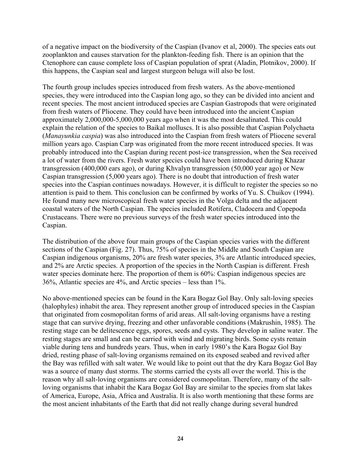of a negative impact on the biodiversity of the Caspian (Ivanov et al, 2000). The species eats out zooplankton and causes starvation for the plankton-feeding fish. There is an opinion that the Ctenophore can cause complete loss of Caspian population of sprat (Aladin, Plotnikov, 2000). If this happens, the Caspian seal and largest sturgeon beluga will also be lost.

The fourth group includes species introduced from fresh waters. As the above-mentioned species, they were introduced into the Caspian long ago, so they can be divided into ancient and recent species. The most ancient introduced species are Caspian Gastropods that were originated from fresh waters of Pliocene. They could have been introduced into the ancient Caspian approximately 2,000,000-5,000,000 years ago when it was the most desalinated. This could explain the relation of the species to Baikal molluscs. It is also possible that Caspian Polychaeta (*Manayunkia caspia*) was also introduced into the Caspian from fresh waters of Pliocene several million years ago. Caspian Carp was originated from the more recent introduced species. It was probably introduced into the Caspian during recent post-ice transgression, when the Sea received a lot of water from the rivers. Fresh water species could have been introduced during Khazar transgression (400,000 ears ago), or during Khvalyn transgression (50,000 year ago) or New Caspian transgression (5,000 years ago). There is no doubt that introduction of fresh water species into the Caspian continues nowadays. However, it is difficult to register the species so no attention is paid to them. This conclusion can be confirmed by works of Yu. S. Chuikov (1994). He found many new microscopical fresh water species in the Volga delta and the adjacent coastal waters of the North Caspian. The species included Rotifera, Cladocera and Copepoda Crustaceans. There were no previous surveys of the fresh water species introduced into the Caspian.

The distribution of the above four main groups of the Caspian species varies with the different sections of the Caspian (Fig. 27). Thus, 75% of species in the Middle and South Caspian are Caspian indigenous organisms, 20% are fresh water species, 3% are Atlantic introduced species, and 2% are Arctic species. A proportion of the species in the North Caspian is different. Fresh water species dominate here. The proportion of them is 60%: Caspian indigenous species are 36%, Atlantic species are 4%, and Arctic species – less than 1%.

No above-mentioned species can be found in the Kara Bogaz Gol Bay. Only salt-loving species (halophyles) inhabit the area. They represent another group of introduced species in the Caspian that originated from cosmopolitan forms of arid areas. All salt-loving organisms have a resting stage that can survive drying, freezing and other unfavorable conditions (Makrushin, 1985). The resting stage can be delitescence eggs, spores, seeds and cysts. They develop in saline water. The resting stages are small and can be carried with wind and migrating birds. Some cysts remain viable during tens and hundreds years. Thus, when in early 1980's the Kara Bogaz Gol Bay dried, resting phase of salt-loving organisms remained on its exposed seabed and revived after the Bay was refilled with salt water. We would like to point out that the dry Kara Bogaz Gol Bay was a source of many dust storms. The storms carried the cysts all over the world. This is the reason why all salt-loving organisms are considered cosmopolitan. Therefore, many of the saltloving organisms that inhabit the Kara Bogaz Gol Bay are similar to the species from slat lakes of America, Europe, Asia, Africa and Australia. It is also worth mentioning that these forms are the most ancient inhabitants of the Earth that did not really change during several hundred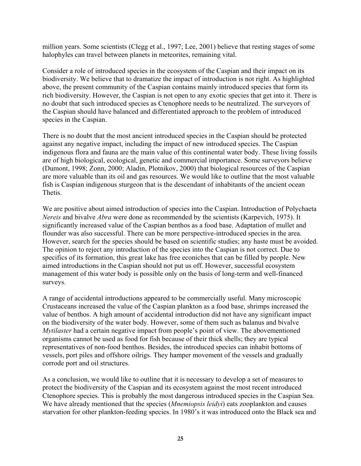million years. Some scientists (Clegg et al., 1997; Lee, 2001) believe that resting stages of some halophyles can travel between planets in meteorites, remaining vital.

Consider a role of introduced species in the ecosystem of the Caspian and their impact on its biodiversity. We believe that to dramatize the impact of introduction is not right. As highlighted above, the present community of the Caspian contains mainly introduced species that form its rich biodiversity. However, the Caspian is not open to any exotic species that get into it. There is no doubt that such introduced species as Ctenophore needs to be neutralized. The surveyors of the Caspian should have balanced and differentiated approach to the problem of introduced species in the Caspian.

There is no doubt that the most ancient introduced species in the Caspian should be protected against any negative impact, including the impact of new introduced species. The Caspian indigenous flora and fauna are the main value of this continental water body. These living fossils are of high biological, ecological, genetic and commercial importance. Some surveyors believe (Dumont, 1998; Zonn, 2000; Aladin, Plotnikov, 2000) that biological resources of the Caspian are more valuable than its oil and gas resources. We would like to outline that the most valuable fish is Caspian indigenous sturgeon that is the descendant of inhabitants of the ancient ocean Thetis.

We are positive about aimed introduction of species into the Caspian. Introduction of Polychaeta *Nereis* and bivalve *Abra* were done as recommended by the scientists (Karpevich, 1975). It significantly increased value of the Caspian benthos as a food base. Adaptation of mullet and flounder was also successful. There can be more perspective-introduced species in the area. However, search for the species should be based on scientific studies; any haste must be avoided. The opinion to reject any introduction of the species into the Caspian is not correct. Due to specifics of its formation, this great lake has free econiches that can be filled by people. New aimed introductions in the Caspian should not put us off. However, successful ecosystem management of this water body is possible only on the basis of long-term and well-financed surveys.

A range of accidental introductions appeared to be commercially useful. Many microscopic Crustaceans increased the value of the Caspian plankton as a food base, shrimps increased the value of benthos. A high amount of accidental introduction did not have any significant impact on the biodiversity of the water body. However, some of them such as balanus and bivalve *Mytilaster* had a certain negative impact from people's point of view. The abovementioned organisms cannot be used as food for fish because of their thick shells; they are typical representatives of non-food benthos. Besides, the introduced species can inhabit bottoms of vessels, port piles and offshore oilrigs. They hamper movement of the vessels and gradually corrode port and oil structures.

As a conclusion, we would like to outline that it is necessary to develop a set of measures to protect the biodiversity of the Caspian and its ecosystem against the most recent introduced Ctenophore species. This is probably the most dangerous introduced species in the Caspian Sea. We have already mentioned that the species (*Mnemiopsis leidyi*) eats zooplankton and causes starvation for other plankton-feeding species. In 1980's it was introduced onto the Black sea and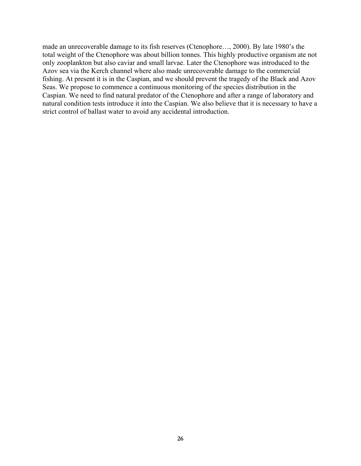made an unrecoverable damage to its fish reserves (Ctenophore…, 2000). By late 1980's the total weight of the Ctenophore was about billion tonnes. This highly productive organism ate not only zooplankton but also caviar and small larvae. Later the Ctenophore was introduced to the Azov sea via the Kerch channel where also made unrecoverable damage to the commercial fishing. At present it is in the Caspian, and we should prevent the tragedy of the Black and Azov Seas. We propose to commence a continuous monitoring of the species distribution in the Caspian. We need to find natural predator of the Ctenophore and after a range of laboratory and natural condition tests introduce it into the Caspian. We also believe that it is necessary to have a strict control of ballast water to avoid any accidental introduction.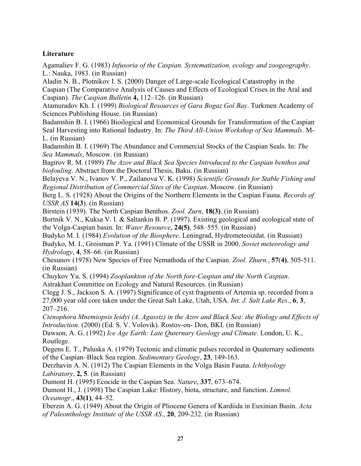# **Literature**

Agamaliev F. G. (1983) *Infusoria of the Caspian. Systematization, ecology and zoogeography*. L.: Nauka, 1983. (in Russian)

Aladin N. B., Plotnikov I. S. (2000) Danger of Large-scale Ecological Catastrophy in the Caspian (The Comparative Analysis of Causes and Effects of Ecological Crises in the Aral and Caspian). *The Caspian Bulletin* **4,** 112–126. (in Russian)

Atamuradov Kh. I. (1999) *Biological Resources of Gara Bogaz Gol Bay*. Turkmen Academy of Sciences Publishing House. (in Russian)

Badamshin B. I. (1966) Bioilogical and Economical Grounds for Transformation of the Caspian Seal Harvesting into Rational Industry. In: *The Third All-Union Workshop of Sea Mammals*. M-L. (in Russian)

Badamshin B. I. (1969) The Abundance and Commercial Stocks of the Caspian Seals. In: *The Sea Mammals*, Moscow. (in Russian)

Bagirov R. M. (1989) *The Azov and Black Sea Species Introduced to the Caspian benthos and biofouling*. Abstract from the Doctoral Thesis, Baku. (in Russian)

Belayeva V. N., Ivanov V. P., Zailanova V. K. (1998) *Scientific Grounds for Stable Fishing and Regional Distribution of Commercial Sites of the Caspian*. Moscow. (in Russian)

Berg L. S. (1928) About the Origins of the Northern Elements in the Caspian Fauna. *Records of USSR AS* **14(3**). (in Russian)

Birstein (1939). The North Caspian Benthos. *Zool. Zurn*, **18(3)**. (in Russian)

Bortnik V. N., Kuksa V. I. & Saltankin B. P. (1997). Existing geological and ecological state of the Volga-Caspian basin. In: *Water Resource*, **24(5)**, 548–555. (in Russian)

Budyko M. I. (1984) *Evolution of the Biosphere*. Leningrad, Hydrometeoizdat. (in Russian) Budyko, M. I., Groisman P. Ya. (1991) Climate of the USSR in 2000. *Soviet meteorology and Hydrology*, **4**, 58–66. (in Russian)

Chesunov (1978) New Species of Free Nemathoda of the Caspian. *Zool. Zhurn.*, **57**(**4)**, 505-511. (in Russian)

Chuykov Yu. S. (1994) *Zooplankton of the North fore-Caspian and the North Caspian*. Astrakhan Committee on Ecology and Natural Resources. (in Russian)

Clegg J. S., Jackson S. A. (1997) Significance of cyst fragments of Artemia sp. recorded from a 27,000 year old core taken under the Great Salt Lake, Utah, USA. *Int. J. Salt Lake Res*., **6**, **3**, 207–216.

*Ctenophora Mnemiopsis leidyi (A. Agassiz) in the Azov and Black Sea: the Biology and Effects of Introduction.* (2000) (Ed. S. V. Volovik). Rostov-on- Don, BKI. (in Russian)

Dawson, A. G. (1992) *Ice Age Earth: Late Quternary Geology and Climate*. London, U. K., Routlege.

Degens E. T., Paluska A. (1979) Tectonic and climatic pulses recorded in Quaternary sediments of the Caspian–Black Sea region. *Sedimentary Geology*, **23**, 149-163.

Derzhavin A. N. (1912) The Caspian Elements in the Volga Basin Fauna. *Ichthyology Labiratory*, **2, 5**. (in Russian)

Dumont H. (1995) Ecocide in the Caspian Sea. *Nature*, **337**, 673–674.

Dumont H., J. (1998) The Caspian Lake: History, biota, structure, and function. *Limnol. Oceanogr*., **43(1)**, 44–52.

Eberzin A. G. (1949) About the Origin of Pliocene Genera of Kardiida in Euxinian Basin. *Acta of Paleonthology Institute of the USSR AS*., **20**, 209-232. (in Russian)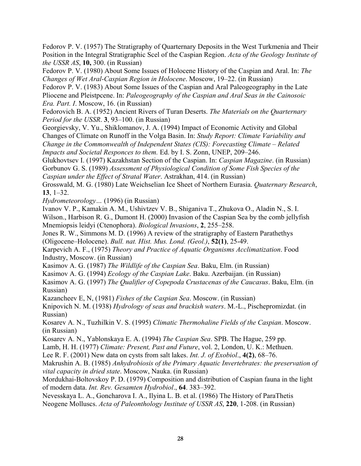Fedorov P. V. (1957) The Stratigraphy of Quarternary Deposits in the West Turkmenia and Their Position in the Integral Stratigraphic Scel of the Caspian Region. *Acta of the Geology Institute of the USSR AS*, **10,** 300. (in Russian)

Fedorov P. V. (1980) About Some Issues of Holocene History of the Caspian and Aral. In: *The Changes of Wet Aral-Caspian Region in Holocene*. Moscow, 19–22. (in Russian)

Fedorov P. V. (1983) About Some Issues of the Caspian and Aral Paleogeography in the Late Pliocene and Pleistpcene. In: *Paleogeography of the Caspian and Aral Seas in the Cainosoic Era. Part. I*. Moscow, 16. (in Russian)

Fedorovich B. A. (1952) Ancient Rivers of Turan Deserts. *The Materials on the Quarternary Period for the USSR*. **3**, 93–100. (in Russian)

Georgievsky, V. Yu., Shiklomanov, J. A. (1994) Impact of Economic Activity and Global Changes of Climate on Runoff in the Volga Basin. In: *Study Report: Climate Variability and Change in the Commonwealth of Independent States (CIS): Forecasting Climate – Related Impacts and Societal Responces to them.* Ed. by I. S. Zonn, UNEP, 209–246.

Glukhovtsev I. (1997) Kazakhstan Section of the Caspian. In: *Caspian Magazine*. (in Russian) Gorbunov G. S. (1989) *Assessment of Physiological Condition of Some Fish Species of the Caspian under the Effect of Stratal Water*. Astrakhan, 414. (in Russian)

Grosswald, M. G. (1980) Late Weichselian Ice Sheet of Northern Eurasia. *Quaternary Research*, **13**, 1–32.

*Hydrometeorology…* (1996) (in Russian)

Ivanov V. P., Kamakin A. M., Ushivtzev V. B., Shiganiva T., Zhukova O., Aladin N., S. I. Wilson., Harbison R. G., Dumont H. (2000) Invasion of the Caspian Sea by the comb jellyfish Mnemiopsis leidyi (Ctenophora). *Biological Invasions*, **2**, 255–258.

Jones R. W., Simmons M. D. (1996) A review of the stratigraphy of Eastern Parathethys (Oligocene–Holocene). *Bull. nat. Hist. Mus. Lond. (Geol.)*, **52(1)**, 25-49.

Karpevich A. F., (1975) *Theory and Practice of Aquatic Organisms Acclimatization*. Food Industry, Moscow. (in Russian)

Kasimov A. G. (1987) *The Wildlife of the Caspian Sea*. Baku, Elm. (in Russian)

Kasimov A. G. (1994) *Ecology of the Caspian Lake*. Baku. Azerbaijan. (in Russian)

Kasimov A. G. (1997) *The Qualifier of Copepoda Crustacenas of the Caucasus*. Baku, Elm. (in Russian)

Kazancheev E, N, (1981) *Fishes of the Caspian Sea*. Moscow. (in Russian)

Knipovich N. M. (1938) *Hydrology of seas and brackish waters*. M.-L., Pischepromizdat. (in Russian)

Kosarev A. N., Tuzhilkin V. S. (1995) *Climatic Thermohaline Fields of the Caspian*. Moscow. (in Russian)

Kosarev A. N., Yablonskaya E. A. (1994) *The Caspian Sea*. SPB. The Hague, 259 pp.

Lamb, H. H. (1977) *Climate: Present, Past and Future*, vol. 2, London, U. K.: Methuen.

Lee R. F. (2001) New data on cysts from salt lakes. *Int. J. of Exobiol*., **4(2)**, 68–76.

Makrushin A. B. (1985) *Anhydrobiosis of the Primary Aquatic Invertebrates: the preservation of vital capacity in dried state*. Moscow, Nauka. (in Russian)

Mordukhai-Boltovskoy P. D. (1979) Composition and distribution of Caspian fauna in the light of modern data. *Int. Rev. Gesamten Hydrobiol*., **64**. 383–392.

Nevesskaya L. A., Goncharova I. A., Ilyina L. B. et al. (1986) The History of ParaThetis Neogene Molluscs. *Acta of Paleonthology Institute of USSR AS*, **220**, 1-208. (in Russian)